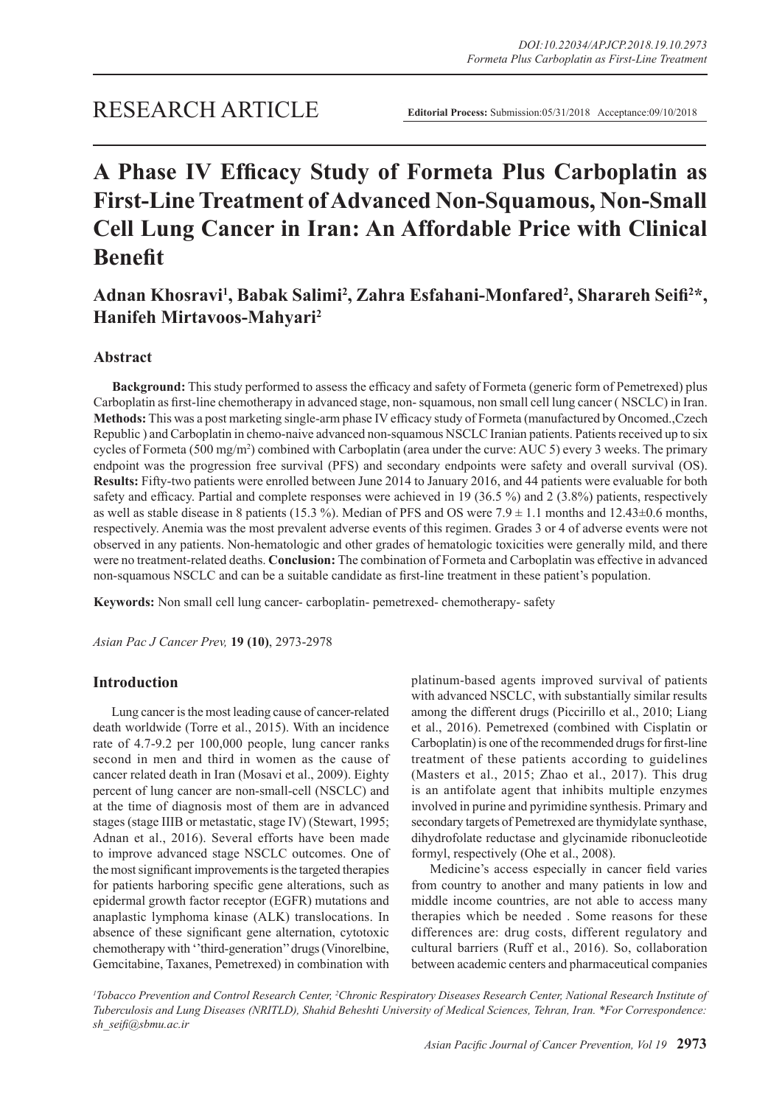**Editorial Process:** Submission:05/31/2018 Acceptance:09/10/2018

# **A Phase IV Efficacy Study of Formeta Plus Carboplatin as First-Line Treatment of Advanced Non-Squamous, Non-Small Cell Lung Cancer in Iran: An Affordable Price with Clinical Benefit**

# **Adnan Khosravi<sup>1</sup> , Babak Salimi<sup>2</sup> , Zahra Esfahani-Monfared<sup>2</sup> , Sharareh Seifi<sup>2</sup> \*, Hanifeh Mirtavoos-Mahyari<sup>2</sup>**

# **Abstract**

**Background:** This study performed to assess the efficacy and safety of Formeta (generic form of Pemetrexed) plus Carboplatin as first-line chemotherapy in advanced stage, non- squamous, non small cell lung cancer ( NSCLC) in Iran. **Methods:** This was a post marketing single-arm phase IV efficacy study of Formeta (manufactured by Oncomed.,Czech Republic ) and Carboplatin in chemo-naive advanced non-squamous NSCLC Iranian patients. Patients received up to six cycles of Formeta (500 mg/m<sup>2</sup>) combined with Carboplatin (area under the curve: AUC 5) every 3 weeks. The primary endpoint was the progression free survival (PFS) and secondary endpoints were safety and overall survival (OS). **Results:** Fifty-two patients were enrolled between June 2014 to January 2016, and 44 patients were evaluable for both safety and efficacy. Partial and complete responses were achieved in 19 (36.5 %) and 2 (3.8%) patients, respectively as well as stable disease in 8 patients (15.3 %). Median of PFS and OS were  $7.9 \pm 1.1$  months and  $12.43\pm0.6$  months, respectively. Anemia was the most prevalent adverse events of this regimen. Grades 3 or 4 of adverse events were not observed in any patients. Non-hematologic and other grades of hematologic toxicities were generally mild, and there were no treatment-related deaths. **Conclusion:** The combination of Formeta and Carboplatin was effective in advanced non-squamous NSCLC and can be a suitable candidate as first-line treatment in these patient's population.

**Keywords:** Non small cell lung cancer- carboplatin- pemetrexed- chemotherapy- safety

*Asian Pac J Cancer Prev,* **19 (10)**, 2973-2978

# **Introduction**

Lung cancer is the most leading cause of cancer-related death worldwide (Torre et al., 2015). With an incidence rate of 4.7-9.2 per 100,000 people, lung cancer ranks second in men and third in women as the cause of cancer related death in Iran (Mosavi et al., 2009). Eighty percent of lung cancer are non-small-cell (NSCLC) and at the time of diagnosis most of them are in advanced stages (stage IIIB or metastatic, stage IV) (Stewart, 1995; Adnan et al., 2016). Several efforts have been made to improve advanced stage NSCLC outcomes. One of the most significant improvements is the targeted therapies for patients harboring specific gene alterations, such as epidermal growth factor receptor (EGFR) mutations and anaplastic lymphoma kinase (ALK) translocations. In absence of these significant gene alternation, cytotoxic chemotherapy with ''third-generation'' drugs (Vinorelbine, Gemcitabine, Taxanes, Pemetrexed) in combination with platinum-based agents improved survival of patients with advanced NSCLC, with substantially similar results among the different drugs (Piccirillo et al., 2010; Liang et al., 2016). Pemetrexed (combined with Cisplatin or Carboplatin) is one of the recommended drugs for first-line treatment of these patients according to guidelines (Masters et al., 2015; Zhao et al., 2017). This drug is an antifolate agent that inhibits multiple enzymes involved in purine and pyrimidine synthesis. Primary and secondary targets of Pemetrexed are thymidylate synthase, dihydrofolate reductase and glycinamide ribonucleotide formyl, respectively (Ohe et al., 2008).

Medicine's access especially in cancer field varies from country to another and many patients in low and middle income countries, are not able to access many therapies which be needed . Some reasons for these differences are: drug costs, different regulatory and cultural barriers (Ruff et al., 2016). So, collaboration between academic centers and pharmaceutical companies

*1 Tobacco Prevention and Control Research Center, 2 Chronic Respiratory Diseases Research Center, National Research Institute of Tuberculosis and Lung Diseases (NRITLD), Shahid Beheshti University of Medical Sciences, Tehran, Iran. \*For Correspondence: sh\_seifi@sbmu.ac.ir*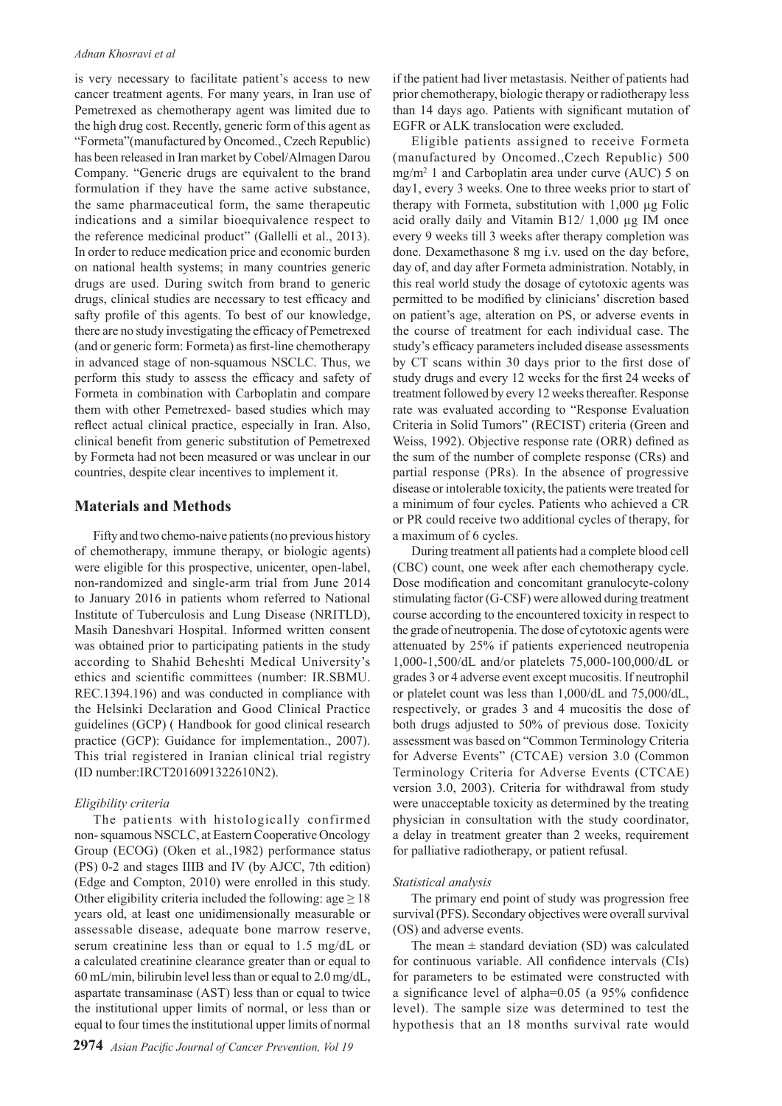#### *Adnan Khosravi et al*

is very necessary to facilitate patient's access to new cancer treatment agents. For many years, in Iran use of Pemetrexed as chemotherapy agent was limited due to the high drug cost. Recently, generic form of this agent as "Formeta"(manufactured by Oncomed., Czech Republic) has been released in Iran market by Cobel/Almagen Darou Company. "Generic drugs are equivalent to the brand formulation if they have the same active substance, the same pharmaceutical form, the same therapeutic indications and a similar bioequivalence respect to the reference medicinal product" (Gallelli et al., 2013). In order to reduce medication price and economic burden on national health systems; in many countries generic drugs are used. During switch from brand to generic drugs, clinical studies are necessary to test efficacy and safty profile of this agents. To best of our knowledge, there are no study investigating the efficacy of Pemetrexed (and or generic form: Formeta) as first-line chemotherapy in advanced stage of non-squamous NSCLC. Thus, we perform this study to assess the efficacy and safety of Formeta in combination with Carboplatin and compare them with other Pemetrexed- based studies which may reflect actual clinical practice, especially in Iran. Also, clinical benefit from generic substitution of Pemetrexed by Formeta had not been measured or was unclear in our countries, despite clear incentives to implement it.

### **Materials and Methods**

Fifty and two chemo-naive patients (no previous history of chemotherapy, immune therapy, or biologic agents) were eligible for this prospective, unicenter, open-label, non-randomized and single-arm trial from June 2014 to January 2016 in patients whom referred to National Institute of Tuberculosis and Lung Disease (NRITLD), Masih Daneshvari Hospital. Informed written consent was obtained prior to participating patients in the study according to Shahid Beheshti Medical University's ethics and scientific committees (number: IR.SBMU. REC.1394.196) and was conducted in compliance with the Helsinki Declaration and Good Clinical Practice guidelines (GCP) ( Handbook for good clinical research practice (GCP): Guidance for implementation., 2007). This trial registered in Iranian clinical trial registry (ID number:IRCT2016091322610N2).

#### *Eligibility criteria*

The patients with histologically confirmed non- squamous NSCLC, at Eastern Cooperative Oncology Group (ECOG) (Oken et al.,1982) performance status (PS) 0-2 and stages IIIB and IV (by AJCC, 7th edition) (Edge and Compton, 2010) were enrolled in this study. Other eligibility criteria included the following: age  $\geq 18$ years old, at least one unidimensionally measurable or assessable disease, adequate bone marrow reserve, serum creatinine less than or equal to 1.5 mg/dL or a calculated creatinine clearance greater than or equal to 60 mL/min, bilirubin level less than or equal to 2.0 mg/dL, aspartate transaminase (AST) less than or equal to twice the institutional upper limits of normal, or less than or equal to four times the institutional upper limits of normal

if the patient had liver metastasis. Neither of patients had prior chemotherapy, biologic therapy or radiotherapy less than 14 days ago. Patients with significant mutation of EGFR or ALK translocation were excluded.

Eligible patients assigned to receive Formeta (manufactured by Oncomed.,Czech Republic) 500 mg/m2 1 and Carboplatin area under curve (AUC) 5 on day1, every 3 weeks. One to three weeks prior to start of therapy with Formeta, substitution with 1,000 µg Folic acid orally daily and Vitamin B12/ 1,000 µg IM once every 9 weeks till 3 weeks after therapy completion was done. Dexamethasone 8 mg i.v. used on the day before, day of, and day after Formeta administration. Notably, in this real world study the dosage of cytotoxic agents was permitted to be modified by clinicians' discretion based on patient's age, alteration on PS, or adverse events in the course of treatment for each individual case. The study's efficacy parameters included disease assessments by CT scans within 30 days prior to the first dose of study drugs and every 12 weeks for the first 24 weeks of treatment followed by every 12 weeks thereafter. Response rate was evaluated according to "Response Evaluation Criteria in Solid Tumors" (RECIST) criteria (Green and Weiss, 1992). Objective response rate (ORR) defined as the sum of the number of complete response (CRs) and partial response (PRs). In the absence of progressive disease or intolerable toxicity, the patients were treated for a minimum of four cycles. Patients who achieved a CR or PR could receive two additional cycles of therapy, for a maximum of 6 cycles.

During treatment all patients had a complete blood cell (CBC) count, one week after each chemotherapy cycle. Dose modification and concomitant granulocyte-colony stimulating factor (G-CSF) were allowed during treatment course according to the encountered toxicity in respect to the grade of neutropenia. The dose of cytotoxic agents were attenuated by 25% if patients experienced neutropenia 1,000-1,500/dL and/or platelets 75,000-100,000/dL or grades 3 or 4 adverse event except mucositis. If neutrophil or platelet count was less than 1,000/dL and 75,000/dL, respectively, or grades 3 and 4 mucositis the dose of both drugs adjusted to 50% of previous dose. Toxicity assessment was based on "Common Terminology Criteria for Adverse Events" (CTCAE) version 3.0 (Common Terminology Criteria for Adverse Events (CTCAE) version 3.0, 2003). Criteria for withdrawal from study were unacceptable toxicity as determined by the treating physician in consultation with the study coordinator, a delay in treatment greater than 2 weeks, requirement for palliative radiotherapy, or patient refusal.

#### *Statistical analysis*

The primary end point of study was progression free survival (PFS). Secondary objectives were overall survival (OS) and adverse events.

The mean  $\pm$  standard deviation (SD) was calculated for continuous variable. All confidence intervals (CIs) for parameters to be estimated were constructed with a significance level of alpha=0.05 (a 95% confidence level). The sample size was determined to test the hypothesis that an 18 months survival rate would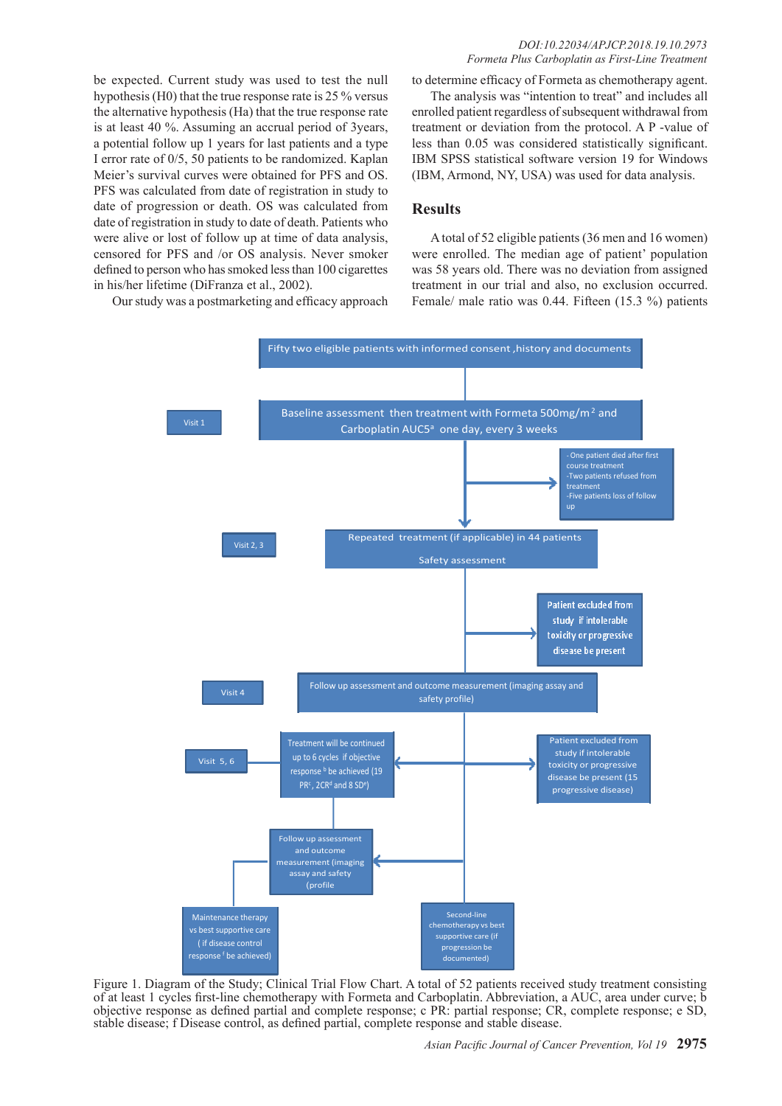*DOI:10.22034/APJCP.2018.19.10.2973 Formeta Plus Carboplatin as First-Line Treatment* 

be expected. Current study was used to test the null hypothesis (H0) that the true response rate is 25 % versus the alternative hypothesis (Ha) that the true response rate is at least 40 %. Assuming an accrual period of 3years, a potential follow up 1 years for last patients and a type I error rate of 0/5, 50 patients to be randomized. Kaplan Meier's survival curves were obtained for PFS and OS. PFS was calculated from date of registration in study to date of progression or death. OS was calculated from date of registration in study to date of death. Patients who were alive or lost of follow up at time of data analysis, censored for PFS and /or OS analysis. Never smoker defined to person who has smoked less than 100 cigarettes in his/her lifetime (DiFranza et al., 2002).

Our study was a postmarketing and efficacy approach

to determine efficacy of Formeta as chemotherapy agent. The analysis was "intention to treat" and includes all

enrolled patient regardless of subsequent withdrawal from treatment or deviation from the protocol. A P -value of less than 0.05 was considered statistically significant. IBM SPSS statistical software version 19 for Windows (IBM, Armond, NY, USA) was used for data analysis.

# **Results**

A total of 52 eligible patients (36 men and 16 women) were enrolled. The median age of patient' population was 58 years old. There was no deviation from assigned treatment in our trial and also, no exclusion occurred. Female/ male ratio was 0.44. Fifteen (15.3 %) patients



Figure 1. Diagram of the Study; Clinical Trial Flow Chart. A total of 52 patients received study treatment consisting of at least 1 cycles first-line chemotherapy with Formeta and Carboplatin. Abbreviation, a AUC, area under curve; b objective response as defined partial and complete response; c PR: partial response; CR, complete response; e SD, stable disease; f Disease control, as defined partial, complete response and stable disease.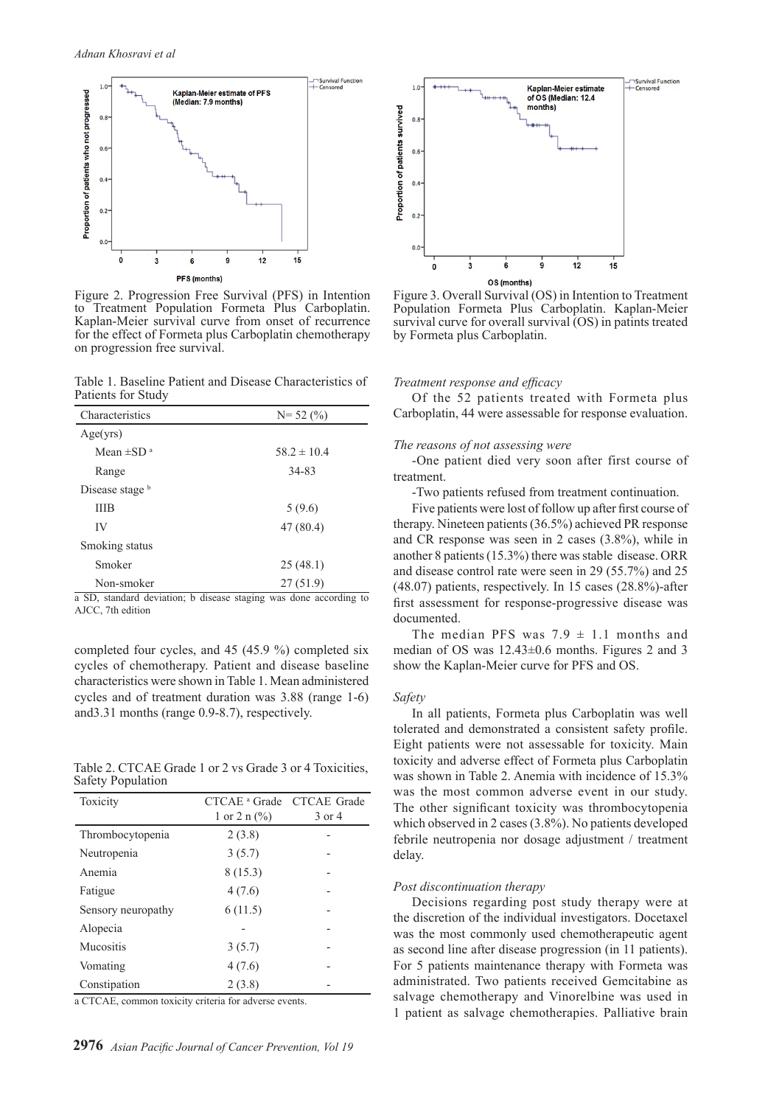

Figure 2. Progression Free Survival (PFS) in Intention to Treatment Population Formeta Plus Carboplatin. Kaplan-Meier survival curve from onset of recurrence for the effect of Formeta plus Carboplatin chemotherapy on progression free survival.

Table 1. Baseline Patient and Disease Characteristics of Patients for Study

| $N = 52(%)$                                                      |
|------------------------------------------------------------------|
|                                                                  |
| $58.2 \pm 10.4$                                                  |
| 34-83                                                            |
|                                                                  |
| 5(9.6)                                                           |
| 47 (80.4)                                                        |
|                                                                  |
| 25(48.1)                                                         |
| 27(51.9)                                                         |
| e SD standard doviation; h disease staging was done according to |

a SD, standard deviation; b disease staging was done according to AJCC, 7th edition

completed four cycles, and 45 (45.9 %) completed six cycles of chemotherapy. Patient and disease baseline characteristics were shown in Table 1. Mean administered cycles and of treatment duration was 3.88 (range 1-6) and3.31 months (range 0.9-8.7), respectively.

Table 2. CTCAE Grade 1 or 2 vs Grade 3 or 4 Toxicities, Safety Population

| Toxicity           | CTCAE <sup>a</sup> Grade CTCAE Grade<br>1 or 2 n $(\% )$ | 3 or 4 |
|--------------------|----------------------------------------------------------|--------|
| Thrombocytopenia   | 2(3.8)                                                   |        |
| Neutropenia        | 3(5.7)                                                   |        |
| Anemia             | 8(15.3)                                                  |        |
| Fatigue            | 4(7.6)                                                   |        |
| Sensory neuropathy | 6(11.5)                                                  |        |
| Alopecia           |                                                          |        |
| Mucositis          | 3(5.7)                                                   |        |
| Vomating           | 4(7.6)                                                   |        |
| Constipation       | 2(3.8)                                                   |        |

a CTCAE, common toxicity criteria for adverse events.



Figure 3. Overall Survival (OS) in Intention to Treatment Population Formeta Plus Carboplatin. Kaplan-Meier survival curve for overall survival (OS) in patints treated by Formeta plus Carboplatin.

#### *Treatment response and efficacy*

Of the 52 patients treated with Formeta plus Carboplatin, 44 were assessable for response evaluation.

#### *The reasons of not assessing were*

-One patient died very soon after first course of treatment.

-Two patients refused from treatment continuation.

Five patients were lost of follow up after first course of therapy. Nineteen patients (36.5%) achieved PR response and CR response was seen in 2 cases (3.8%), while in another 8 patients (15.3%) there was stable disease. ORR and disease control rate were seen in 29 (55.7%) and 25 (48.07) patients, respectively. In 15 cases (28.8%)-after first assessment for response-progressive disease was documented.

The median PFS was  $7.9 \pm 1.1$  months and median of OS was 12.43±0.6 months. Figures 2 and 3 show the Kaplan-Meier curve for PFS and OS.

#### *Safety*

In all patients, Formeta plus Carboplatin was well tolerated and demonstrated a consistent safety profile. Eight patients were not assessable for toxicity. Main toxicity and adverse effect of Formeta plus Carboplatin was shown in Table 2. Anemia with incidence of 15.3% was the most common adverse event in our study. The other significant toxicity was thrombocytopenia which observed in 2 cases (3.8%). No patients developed febrile neutropenia nor dosage adjustment / treatment delay.

#### *Post discontinuation therapy*

Decisions regarding post study therapy were at the discretion of the individual investigators. Docetaxel was the most commonly used chemotherapeutic agent as second line after disease progression (in 11 patients). For 5 patients maintenance therapy with Formeta was administrated. Two patients received Gemcitabine as salvage chemotherapy and Vinorelbine was used in 1 patient as salvage chemotherapies. Palliative brain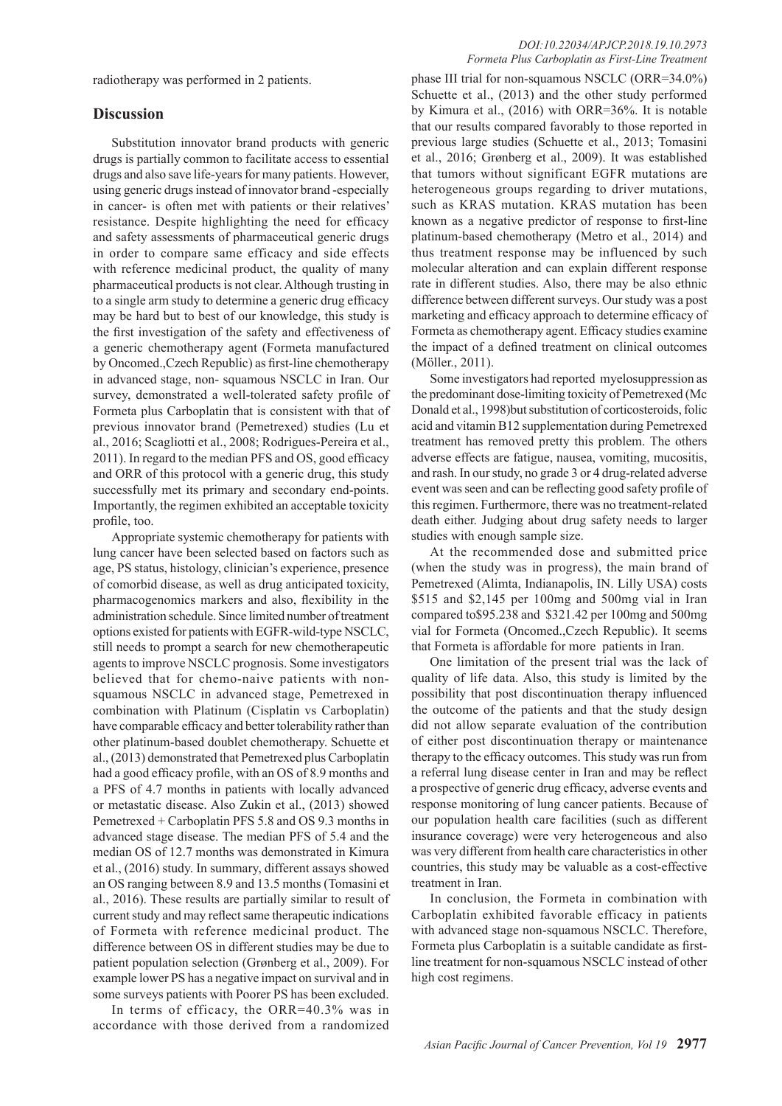radiotherapy was performed in 2 patients.

## **Discussion**

Substitution innovator brand products with generic drugs is partially common to facilitate access to essential drugs and also save life-years for many patients. However, using generic drugs instead of innovator brand -especially in cancer- is often met with patients or their relatives' resistance. Despite highlighting the need for efficacy and safety assessments of pharmaceutical generic drugs in order to compare same efficacy and side effects with reference medicinal product, the quality of many pharmaceutical products is not clear. Although trusting in to a single arm study to determine a generic drug efficacy may be hard but to best of our knowledge, this study is the first investigation of the safety and effectiveness of a generic chemotherapy agent (Formeta manufactured by Oncomed.,Czech Republic) as first-line chemotherapy in advanced stage, non- squamous NSCLC in Iran. Our survey, demonstrated a well-tolerated safety profile of Formeta plus Carboplatin that is consistent with that of previous innovator brand (Pemetrexed) studies (Lu et al., 2016; Scagliotti et al., 2008; Rodrigues-Pereira et al., 2011). In regard to the median PFS and OS, good efficacy and ORR of this protocol with a generic drug, this study successfully met its primary and secondary end-points. Importantly, the regimen exhibited an acceptable toxicity profile, too.

Appropriate systemic chemotherapy for patients with lung cancer have been selected based on factors such as age, PS status, histology, clinician's experience, presence of comorbid disease, as well as drug anticipated toxicity, pharmacogenomics markers and also, flexibility in the administration schedule. Since limited number of treatment options existed for patients with EGFR-wild-type NSCLC, still needs to prompt a search for new chemotherapeutic agents to improve NSCLC prognosis. Some investigators believed that for chemo-naive patients with nonsquamous NSCLC in advanced stage, Pemetrexed in combination with Platinum (Cisplatin vs Carboplatin) have comparable efficacy and better tolerability rather than other platinum-based doublet chemotherapy. Schuette et al., (2013) demonstrated that Pemetrexed plus Carboplatin had a good efficacy profile, with an OS of 8.9 months and a PFS of 4.7 months in patients with locally advanced or metastatic disease. Also Zukin et al., (2013) showed Pemetrexed + Carboplatin PFS 5.8 and OS 9.3 months in advanced stage disease. The median PFS of 5.4 and the median OS of 12.7 months was demonstrated in Kimura et al., (2016) study. In summary, different assays showed an OS ranging between 8.9 and 13.5 months (Tomasini et al., 2016). These results are partially similar to result of current study and may reflect same therapeutic indications of Formeta with reference medicinal product. The difference between OS in different studies may be due to patient population selection (Grønberg et al., 2009). For example lower PS has a negative impact on survival and in some surveys patients with Poorer PS has been excluded.

In terms of efficacy, the ORR=40.3% was in accordance with those derived from a randomized phase III trial for non-squamous NSCLC (ORR=34.0%) Schuette et al., (2013) and the other study performed by Kimura et al., (2016) with ORR=36%. It is notable that our results compared favorably to those reported in previous large studies (Schuette et al., 2013; Tomasini et al., 2016; Grønberg et al., 2009). It was established that tumors without significant EGFR mutations are heterogeneous groups regarding to driver mutations, such as KRAS mutation. KRAS mutation has been known as a negative predictor of response to first-line platinum-based chemotherapy (Metro et al., 2014) and thus treatment response may be influenced by such molecular alteration and can explain different response rate in different studies. Also, there may be also ethnic difference between different surveys. Our study was a post marketing and efficacy approach to determine efficacy of Formeta as chemotherapy agent. Efficacy studies examine the impact of a defined treatment on clinical outcomes (Möller., 2011).

Some investigators had reported myelosuppression as the predominant dose-limiting toxicity of Pemetrexed (Mc Donald et al., 1998)but substitution of corticosteroids, folic acid and vitamin B12 supplementation during Pemetrexed treatment has removed pretty this problem. The others adverse effects are fatigue, nausea, vomiting, mucositis, and rash. In our study, no grade 3 or 4 drug-related adverse event was seen and can be reflecting good safety profile of this regimen. Furthermore, there was no treatment-related death either. Judging about drug safety needs to larger studies with enough sample size.

At the recommended dose and submitted price (when the study was in progress), the main brand of Pemetrexed (Alimta, Indianapolis, IN. Lilly USA) costs \$515 and \$2,145 per 100mg and 500mg vial in Iran compared to\$95.238 and \$321.42 per 100mg and 500mg vial for Formeta (Oncomed.,Czech Republic). It seems that Formeta is affordable for more patients in Iran.

One limitation of the present trial was the lack of quality of life data. Also, this study is limited by the possibility that post discontinuation therapy influenced the outcome of the patients and that the study design did not allow separate evaluation of the contribution of either post discontinuation therapy or maintenance therapy to the efficacy outcomes. This study was run from a referral lung disease center in Iran and may be reflect a prospective of generic drug efficacy, adverse events and response monitoring of lung cancer patients. Because of our population health care facilities (such as different insurance coverage) were very heterogeneous and also was very different from health care characteristics in other countries, this study may be valuable as a cost-effective treatment in Iran.

In conclusion, the Formeta in combination with Carboplatin exhibited favorable efficacy in patients with advanced stage non-squamous NSCLC. Therefore, Formeta plus Carboplatin is a suitable candidate as firstline treatment for non-squamous NSCLC instead of other high cost regimens.